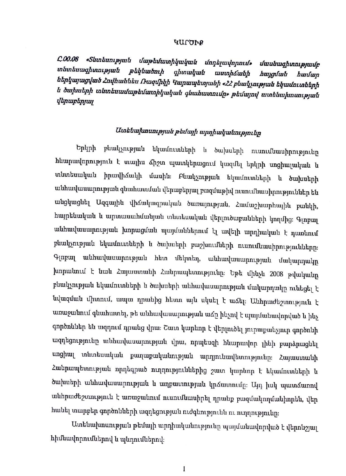#### ԿԱՐԾՒՔ

C.00.08 «Shunkunipjuit *մաթեմատիկական մոդելավորում»* մասնագիտությամբ տնտեսագիտության թեկնածուի գիտական աստիճանի հայցման hwuun ներկայացված Հովհաննես Ռազմիկի Կարապետյանի «ՀՀ բնակչության եկամուտների և ծախսերի տնտեսամաթեմատիկական գնահատումը» թեմայով ատենախոսության *վերաբերյայ* 

### Ատենախոսության թեմայի արդիականությունը

Երկրի բնակչության եկամուտների և ծախսերի ուսումնասիրությունը հնարավորություն է տալիս ձիշտ պատկերացում կազմել երկրի սոցիալական և տնտեսական իրավիճակի մասին։ Բնակչության եկամուտների և ծախսերի անհավասարության գնահատման վերաբերյալ բազմաթիվ ուսումնասիրություններ են անցկացնել Ազգային վիճակագրական ծառայության, Համաշխարհային բանկի, հայրենական և արտասահմանյան տնտեսական վերլուծաբանների կողմից։ Գլոբալ անհավասարության խորացման պայմաններում էլ ավելի արդիական է դառնում բնակչության եկամուտների և ծախսերի բաշխումների ուսումնասիրությունները։ Գլոբալ անհավասարության հետ մեկտեղ, անհավասարության մակարդակը խորանում է նաև Հայաստանի Հանրապետությունը։ Եթե մինչև 2008 թվականը բնակչության եկամուտների և ծախսերի անհավասարության մակարդակը ունեցել է նվազման միտում, ապա դրանից հետո այն սկսել է աձել։ Անհրաժեշտություն է առաջանում գնահատել, թե անհավասարության աճը ինչով է պայմանավորված և ինչ գործոններ են ազդում դրանց վրա։ Շատ կարևոր է վերլուծել յուրաքանչյուր գործոնի ազդեցությունը անհավասարության վրա, որպեսզի հնարավոր լինի բարձրացնել սոցիալ տնտեսական քաղաքականության արդյունավետությունը։ Հայաստանի Հանրապետության որդեգրած ուղղություններից շատ կարևոր է եկամուտների և ծախսերի անհավասարության և աղքատության կրձատումը։ Այդ իսկ պատձառով անհրաժեշտություն է առաջանում ուսումնասիրել դրանք բազմակողմանիորեն, վեր հանել տարբեր գործոնների ազդեցության ուժգնությունն ու ուղղությունը։

Ատենախոսության թեմայի արդիականությունը պայմանավորված է վերոնշյալ հիմնավորումներով և պնդումներով։

 $\mathbf{I}$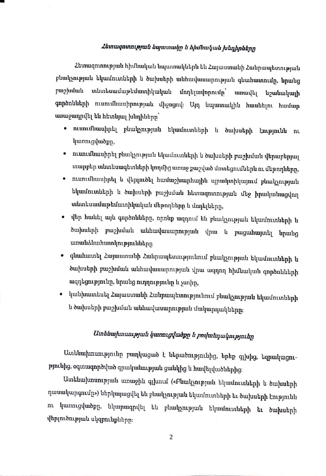### Հետազոտության նպատակը և հիմնական խնդիրները

Հետազոտության հիմնական նպատակներն են Հայաստանի Հանրապետության բնակչության եկամուտների և ծախսերի անհավասարության գնահատումը, նրանց բաշխման տնտեսամաթեմատիկական մոդելավորումը` առավել նշանակալի գործոնների ուսումնասիրության միջոցով։ Այդ նպատակին հասնելու համար առաջադրվել են հետևյալ խնդիները`

- ուսումնասիրել բնակչության եկամուտների և ծախսերի էությունն ու կառուցվածքը,
- ուսումնասիրել բնակչության եկամուտների և ծախսերի բաշխման վերաբերյալ տարբեր տնտեսագետների կողմից առաջ քաշված մոտեցումներն ու մեթոդները,
- ուսումնասիրել և վերլուծել համաշխարհային պրակտիկայում բնակչության եկամուտների և ծախսերի բաշխման հետազոտության մեջ իրականացվող տնտեսամաթեմատիկական մեթոդները և մոդելները,
- վեր հանել այն գործոնները, որոնք ազդում են բնակչության եկամուտների և ծախսերի բաշխման անհավասարության վրա և բացահայտել նրանց առանձնահատկությունները
- գնահատել Հայաստանի Հանրապետությունում բնակչության եկամուտների և ծախսերի բաշխման անհավասարության վրա ազդող հիմնական գործոնների ազդեցությունը, նրանց ուղղությունը և չափը,
- կանխատեսել Հայաստանի Հանրապետությունում բնակչության եկամուտների և ծախսերի բաշխման անհավասարության մակարդակները։

### Ատենախոսության կառուցվածքը և բովանդակությունը

Ատենախոսությունը բաղկացած է ներածությունից, երեք գլխից, եզրակացությունից, օգտագործված գրականության ցանկից և հավելվածներից։

Ատենախոսության առաջին գլխում («Բնակչության եկամուտների և ծախսերի դասակարգումը») ներկայացվել են բնակչության եկամուտների եւ ծախսերի էությունն կառուցվածքը, նկարագրվել են բնակչության եկամուտների եւ ծախսերի  $n_{L}$ վերլուծության սկզբունքները։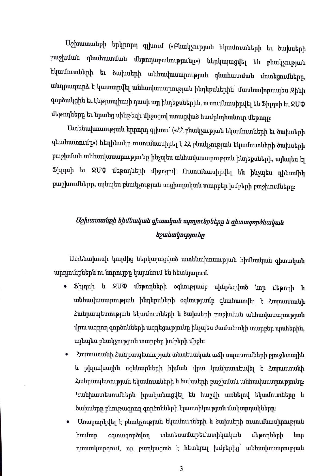Uշխատանքի երկրորդ գլխում («Բնակչության եկամուտների եւ ծախսերի բաշխման գնահատման մեթոդաբանությունը») ներկայացվել են բնակչության եկամուտների եւ ծախսերի անհավասարության գնահատման մոտեցումները, անդրադարձ է կատարվել անհավասարության ինդեքսներին՝ մասնավորապես Ջինի գործակցին եւ էնթրոպիայի դասի այլ ինդեքսներին, ուսումնասիրվել են Ֆիլդսի եւ ՋՄՓ ւնեթոդները եւ նրանց սինթեզի միջոցով ստացված համընդհանուր մեթոդը։

Uտենախոսության երրորդ գլխում («ՀՀ բնակչության եկամուտների եւ ծախսերի գնահատումը») հեղինակը ուսումնասիրել է ՀՀ բնակչության եկամուտների ծախսերի բաշխման անհավասարությունը ինչպես անհավասարության ինդեքսների, այնպես էլ l>l1111up. ht QU<I> tih]unqhhpr tfl12ngntj\_: flmmtiuwurptJ.ht hu lih~ui hu qp.hwtfl1q բաշխումները, այնպես բնակչության սոցիալական տարբեր խմբերի բաշխումները։

## *U2]uwznwlzpft hftrflzwqwlz qftrnwqwlz WJ1I)Jnt.bplzkpp b. qftznwqnplllzwqwlz lz2wlzwqm.pp1tbp*

Uտենախոսի կողմից ներկայացված ատենախոսության հիմնական գիտական արդյունքներն ու նորույթը կայանում են հետևյալում.

- l>}l1qu}l li QU<I> tih]unqhhp}l oqhnt]uJtutfp u}lh]uhqtj\_tuo hnp tfh]unq}l li wuhuu կասարության ինդեքսների օգնությամբ գնահատվել է Հայաստանի Հանրապետության եկամուտների և ծախսերի բաշխման անհավասարության վրա ազդող գործոնների ազդեցությունը ինչպես ժամանակի տարբեր պահերին, այնպես բնակչության տարբեր խմբերի միջև։
- Հայաստանի Հանրապետության տնտեսական աՃի սպասումների բյուջետային lı թիրախային սցենարների հիման վրա կանխատեսվել է Հայաստանի Zանրապետության եկամուտների և ծախսերի բաշխման անհավասարությունը։ Կանխատեսումներն իրականացվել են հաշվի առնելով եկամուտները և ծախսերը բնութագրող գործոնների էլաստիկության մակարդակները։
- Unաջարկվել է բնակչության եկամուտների և ծախսերի ուսումնասիրության hամար օգտագործվող տնտեսամաթեմատիկական մեթոդների նոր դասակարգում, որ բաղկացած է հետևյալ խմբերից` անհավասարության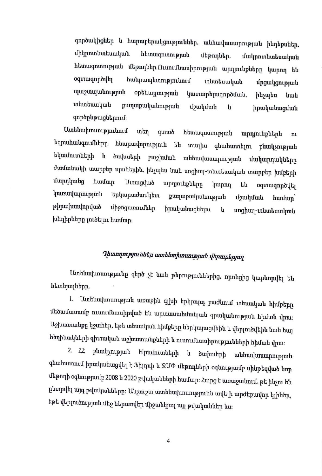գործակիցներ և հարաբերակցություններ, անհավասարության ինդեքսներ, միկրոտնտեսական հետազոտության մեթոդներ, մակրոտնտեսական հետազոտության մեթոդներ։Ուսումնասիրության արդյունքները կարող են օգտագործվել հանրապետությունում տնտեսական մրցակցության պաշտպանության օրենսդրության կատարելագործման, ինչպես նաև տնտեսական քաղաքականության մշակման h իրականացման գործընթացներում։

Ատենախոսությունում տեղ հետազոտության qunub արդյունքներն nı եզրահանգումները հնարավորություն են տալիս գնահատելու բնակչության եկամուտների `և ծախսերի բաշխման անհավասարության մակարդակները ժամանակի տարբեր պահերին, ինչպես նաև սոցիալ-տնտեսական տարբեր խմբերի մարդկանց huuun: Ummglud արդյունքները կարող են օգտագործվել կառավարության երկարաժամկետ քաղաքականության մշակման huufuup թիրախավորված միջոցառումներ իրականացնելու h սոցիալ-տնտեսական խնդիրները լուծելու համար։

# Դիտողություններ ատենախոսության վերաբերյալ

Ատենախոսությունը զերծ չէ նաև թերություններից, որոնցից կարևորվել են հետևյալները.

1. Ատենախոսության առաջին գլխի երկրորդ բաժնում տեսական հիմքերը մեծամասամբ ուսումնասիրված են արտասահմանյան գրականության հիման վրա։ Աշխատանքը կշահեր, եթե տեսական հիմքերը ներկայացվեին և վերլուծվեին նաև հայ հեղինակների գիտական աշխատանքների և ուսումնասիրությունների հիման վրա։

2. 22 բնակչության եկամուտների և ծախսերի անհավասարության գնահատում իրականացվել է Ֆիլդսի և ՋՄՓ մեթոդների օգնությամբ սինթեզված նոր մեթոդի օգնությամբ 2008 և 2020 թվականների համար։ Հարց է առաջանում, թե ինչու են ընտրվել այդ թվականները։ Անշուշտ ատենախոսությունն ավելի արժեքավոր կլիներ, եթե վերլուծության մեջ ներառվեր միջանկյալ այլ թվականներ ևս։